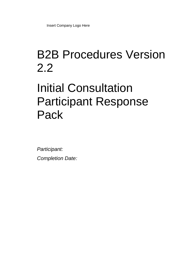## B2B Procedures Version 2.2

# Initial Consultation Participant Response Pack

*Participant: Completion Date:*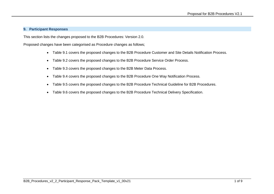#### **9. Participant Responses**

This section lists the changes proposed to the B2B Procedures: Version 2.0.

Proposed changes have been categorised as Procedure changes as follows;

- Table 9.1 covers the proposed changes to the B2B Procedure Customer and Site Details Notification Process.
- Table 9.2 covers the proposed changes to the B2B Procedure Service Order Process.
- Table 9.3 covers the proposed changes to the B2B Meter Data Process.
- Table 9.4 covers the proposed changes to the B2B Procedure One Way Notification Process.
- Table 9.5 covers the proposed changes to the B2B Procedure Technical Guideline for B2B Procedures.
- Table 9.6 covers the proposed changes to the B2B Procedure Technical Delivery Specification.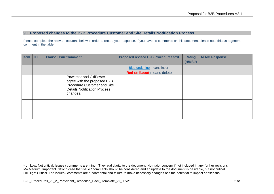#### **9.1 Proposed changes to the B2B Procedure Customer and Site Details Notification Process**

Please complete the relevant columns below in order to record your response. If you have no comments on this document please note this as a general comment in the table.

| <b>Item</b> | ID | <b>Clause/Issue/Comment</b>                                                                                                                    | <b>Proposed revised B2B Procedures text</b> | <b>Rating</b><br>(H/M/L <sup>1</sup> ) | <b>AEMO Response</b> |
|-------------|----|------------------------------------------------------------------------------------------------------------------------------------------------|---------------------------------------------|----------------------------------------|----------------------|
|             |    |                                                                                                                                                | Blue underline means insert                 |                                        |                      |
|             |    |                                                                                                                                                | <b>Red strikeout</b> means delete           |                                        |                      |
|             |    | <b>Powercor and CitiPower</b><br>agree with the proposed B2B<br>Procedure Customer and Site<br><b>Details Notification Process</b><br>changes. |                                             |                                        |                      |
|             |    |                                                                                                                                                |                                             |                                        |                      |
|             |    |                                                                                                                                                |                                             |                                        |                      |
|             |    |                                                                                                                                                |                                             |                                        |                      |

<sup>-</sup> $1$  L= Low: Not critical. Issues / comments are minor. They add clarity to the document. No major concern if not included in any further revisions M= Medium: Important. Strong case that issue / comments should be considered and an update to the document is desirable, but not critical. H= High: Critical. The issues / comments are fundamental and failure to make necessary changes has the potential to impact consensus.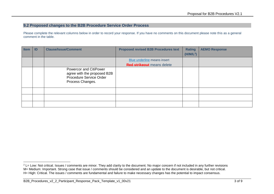## **9.2 Proposed changes to the B2B Procedure Service Order Process**

Please complete the relevant columns below in order to record your response. If you have no comments on this document please note this as a general comment in the table.

| <b>Item</b> | ID | <b>Clause/Issue/Comment</b>                                                                          | <b>Proposed revised B2B Procedures text</b> | <b>Rating</b><br>(H/M/L <sup>2</sup> ) | <b>AEMO Response</b> |
|-------------|----|------------------------------------------------------------------------------------------------------|---------------------------------------------|----------------------------------------|----------------------|
|             |    |                                                                                                      | Blue underline means insert                 |                                        |                      |
|             |    |                                                                                                      | <b>Red strikeout</b> means delete           |                                        |                      |
|             |    | Powercor and CitiPower<br>agree with the proposed B2B<br>Procedure Service Order<br>Process Changes. |                                             |                                        |                      |
|             |    |                                                                                                      |                                             |                                        |                      |
|             |    |                                                                                                      |                                             |                                        |                      |
|             |    |                                                                                                      |                                             |                                        |                      |

 $2$  L= Low: Not critical. Issues / comments are minor. They add clarity to the document. No major concern if not included in any further revisions M= Medium: Important. Strong case that issue / comments should be considered and an update to the document is desirable, but not critical. H= High: Critical. The issues / comments are fundamental and failure to make necessary changes has the potential to impact consensus.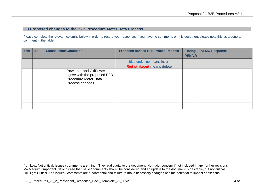#### **9.3 Proposed changes to the B2B Procedure Meter Data Process**

Please complete the relevant columns below in order to record your response. If you have no comments on this document please note this as a general comment in the table.

| <b>Item</b> | -ID | <b>Clause/Issue/Comment</b>                                                                       | <b>Proposed revised B2B Procedures text</b> | <b>Rating</b><br>$(H/M/L^3)$ | <b>AEMO Response</b> |
|-------------|-----|---------------------------------------------------------------------------------------------------|---------------------------------------------|------------------------------|----------------------|
|             |     |                                                                                                   | Blue underline means insert                 |                              |                      |
|             |     |                                                                                                   | <b>Red strikeout</b> means delete           |                              |                      |
|             |     | Powercor and CitiPower<br>agree with the proposed B2B<br>Procedure Meter Data<br>Process changes. |                                             |                              |                      |
|             |     |                                                                                                   |                                             |                              |                      |
|             |     |                                                                                                   |                                             |                              |                      |
|             |     |                                                                                                   |                                             |                              |                      |

<sup>&</sup>lt;sup>3</sup> L= Low: Not critical. Issues / comments are minor. They add clarity to the document. No major concern if not included in any further revisions M= Medium: Important. Strong case that issue / comments should be considered and an update to the document is desirable, but not critical. H= High: Critical. The issues / comments are fundamental and failure to make necessary changes has the potential to impact consensus.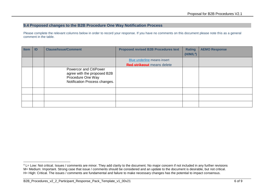## **9.4 Proposed changes to the B2B Procedure One Way Notification Process**

Please complete the relevant columns below in order to record your response. If you have no comments on this document please note this as a general comment in the table.

| <b>Item</b> | ID | <b>Clause/Issue/Comment</b>                                                                                 | <b>Proposed revised B2B Procedures text</b> | <b>Rating</b><br>(H/M/L <sup>4</sup> ) | <b>AEMO Response</b> |
|-------------|----|-------------------------------------------------------------------------------------------------------------|---------------------------------------------|----------------------------------------|----------------------|
|             |    |                                                                                                             | Blue underline means insert                 |                                        |                      |
|             |    |                                                                                                             | <b>Red strikeout</b> means delete           |                                        |                      |
|             |    | Powercor and CitiPower<br>agree with the proposed B2B<br>Procedure One Way<br>Notification Process changes. |                                             |                                        |                      |
|             |    |                                                                                                             |                                             |                                        |                      |
|             |    |                                                                                                             |                                             |                                        |                      |
|             |    |                                                                                                             |                                             |                                        |                      |

<sup>&</sup>lt;sup>4</sup> L= Low: Not critical. Issues / comments are minor. They add clarity to the document. No major concern if not included in any further revisions M= Medium: Important. Strong case that issue / comments should be considered and an update to the document is desirable, but not critical. H= High: Critical. The issues / comments are fundamental and failure to make necessary changes has the potential to impact consensus.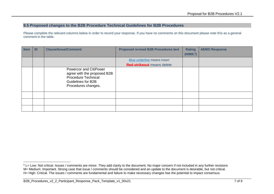#### **9.5 Proposed changes to the B2B Procedure Technical Guidelines for B2B Procedures**

Please complete the relevant columns below in order to record your response. If you have no comments on this document please note this as a general comment in the table.

| <b>Item</b> | ID | <b>Clause/Issue/Comment</b>                                                                                                             | <b>Proposed revised B2B Procedures text</b> | <b>Rating</b><br>(H/M/L <sup>5</sup> ) | <b>AEMO Response</b> |
|-------------|----|-----------------------------------------------------------------------------------------------------------------------------------------|---------------------------------------------|----------------------------------------|----------------------|
|             |    |                                                                                                                                         | Blue underline means insert                 |                                        |                      |
|             |    |                                                                                                                                         | <b>Red strikeout</b> means delete           |                                        |                      |
|             |    | <b>Powercor and CitiPower</b><br>agree with the proposed B2B<br><b>Procedure Technical</b><br>Guidelines for B2B<br>Procedures changes. |                                             |                                        |                      |
|             |    |                                                                                                                                         |                                             |                                        |                      |
|             |    |                                                                                                                                         |                                             |                                        |                      |
|             |    |                                                                                                                                         |                                             |                                        |                      |

<sup>-</sup><sup>5</sup> L= Low: Not critical. Issues / comments are minor. They add clarity to the document. No major concern if not included in any further revisions M= Medium: Important. Strong case that issue / comments should be considered and an update to the document is desirable, but not critical. H= High: Critical. The issues / comments are fundamental and failure to make necessary changes has the potential to impact consensus.